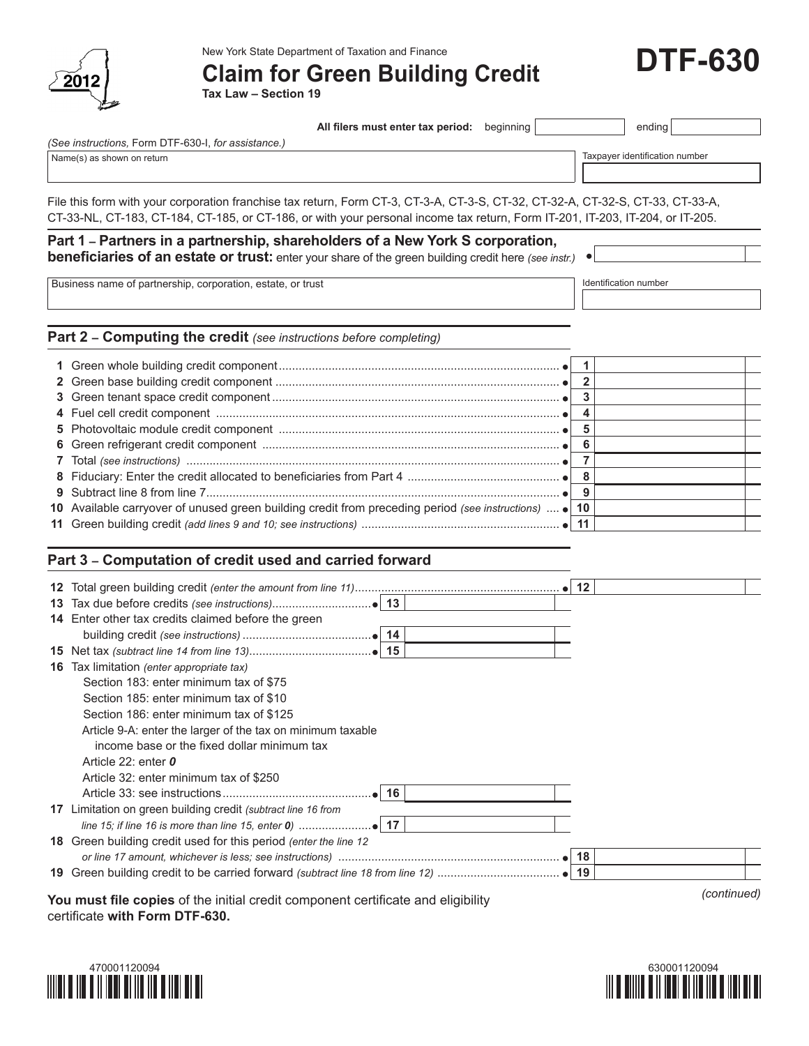

New York State Department of Taxation and Finance

**Claim for Green Building Credit**

**Tax Law – Section 19**

| All filers must enter tax period: | $begin{array}{c c c c} \nbeqinning \n\end{array}$ |  | ending |
|-----------------------------------|---------------------------------------------------|--|--------|
|-----------------------------------|---------------------------------------------------|--|--------|

*(See instructions,* Form DTF-630-I, *for assistance.)*

Name(s) as shown on return example of the state of the state of the state of the state of the state of the state of the state of the state of the state of the state of the state of the state of the state of the state of th

File this form with your corporation franchise tax return, Form CT-3, CT-3-A, CT-3-S, CT-32, CT-32-A, CT-32-S, CT-33, CT-33-A, CT-33-NL, CT-183, CT-184, CT-185, or CT-186, or with your personal income tax return, Form IT-201, IT-203, IT-204, or IT-205.

## **Part 1 – Partners in a partnership, shareholders of a New York S corporation, beneficiaries of an estate or trust:** enter your share of the green building credit here *(see instr.)*

Business name of partnership, corporation, estate, or trust Identification number

 $\bullet$ 

**Part 2 – Computing the credit** *(see instructions before completing)*

| 10 Available carryover of unused green building credit from preceding period (see instructions)  • 10 |  |  |
|-------------------------------------------------------------------------------------------------------|--|--|
|                                                                                                       |  |  |

## **Part 3 – Computation of credit used and carried forward**

| 14 Enter other tax credits claimed before the green                                                                |  |  |             |
|--------------------------------------------------------------------------------------------------------------------|--|--|-------------|
|                                                                                                                    |  |  |             |
|                                                                                                                    |  |  |             |
| <b>16</b> Tax limitation (enter appropriate tax)                                                                   |  |  |             |
| Section 183: enter minimum tax of \$75                                                                             |  |  |             |
| Section 185: enter minimum tax of \$10                                                                             |  |  |             |
| Section 186: enter minimum tax of \$125                                                                            |  |  |             |
| Article 9-A: enter the larger of the tax on minimum taxable                                                        |  |  |             |
| income base or the fixed dollar minimum tax                                                                        |  |  |             |
| Article 22: enter 0                                                                                                |  |  |             |
| Article 32: enter minimum tax of \$250                                                                             |  |  |             |
|                                                                                                                    |  |  |             |
| 17 Limitation on green building credit (subtract line 16 from                                                      |  |  |             |
|                                                                                                                    |  |  |             |
| 18 Green building credit used for this period (enter the line 12                                                   |  |  |             |
|                                                                                                                    |  |  |             |
|                                                                                                                    |  |  |             |
| You must file copies of the initial credit component certificate and eligibility<br>certificate with Form DTF-630. |  |  | (continued) |





**DTF-630**